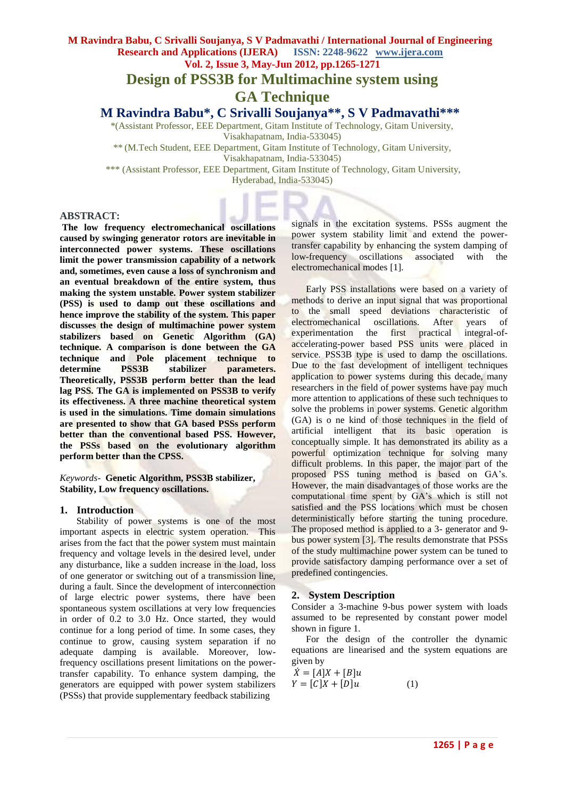# **M Ravindra Babu, C Srivalli Soujanya, S V Padmavathi / International Journal of Engineering Research and Applications (IJERA) ISSN: 2248-9622 www.ijera.com**

**Vol. 2, Issue 3, May-Jun 2012, pp.1265-1271 Design of PSS3B for Multimachine system using GA Technique**

**M Ravindra Babu\* , C Srivalli Soujanya\*\*, S V Padmavathi\*\*\***

\*(Assistant Professor, EEE Department, Gitam Institute of Technology, Gitam University,

Visakhapatnam, India-533045)

\*\* (M.Tech Student, EEE Department, Gitam Institute of Technology, Gitam University,

Visakhapatnam, India-533045)

\*\*\* (Assistant Professor, EEE Department, Gitam Institute of Technology, Gitam University,

Hyderabad, India-533045)

# **ABSTRACT:**

**The low frequency electromechanical oscillations caused by swinging generator rotors are inevitable in interconnected power systems. These oscillations limit the power transmission capability of a network and, sometimes, even cause a loss of synchronism and an eventual breakdown of the entire system, thus making the system unstable. Power system stabilizer (PSS) is used to damp out these oscillations and hence improve the stability of the system. This paper discusses the design of multimachine power system stabilizers based on Genetic Algorithm (GA) technique. A comparison is done between the GA technique and Pole placement technique to determine PSS3B stabilizer parameters. Theoretically, PSS3B perform better than the lead lag PSS. The GA is implemented on PSS3B to verify its effectiveness. A three machine theoretical system is used in the simulations. Time domain simulations are presented to show that GA based PSSs perform better than the conventional based PSS. However, the PSSs based on the evolutionary algorithm perform better than the CPSS.** 

*Keywords*- **Genetic Algorithm, PSS3B stabilizer, Stability, Low frequency oscillations.**

# **1. Introduction**

 Stability of power systems is one of the most important aspects in electric system operation. This arises from the fact that the power system must maintain frequency and voltage levels in the desired level, under any disturbance, like a sudden increase in the load, loss of one generator or switching out of a transmission line, during a fault. Since the development of interconnection of large electric power systems, there have been spontaneous system oscillations at very low frequencies in order of 0.2 to 3.0 Hz. Once started, they would continue for a long period of time. In some cases, they continue to grow, causing system separation if no adequate damping is available. Moreover, lowfrequency oscillations present limitations on the powertransfer capability. To enhance system damping, the generators are equipped with power system stabilizers (PSSs) that provide supplementary feedback stabilizing

signals in the excitation systems. PSSs augment the power system stability limit and extend the powertransfer capability by enhancing the system damping of low-frequency oscillations associated with the electromechanical modes [1].

 Early PSS installations were based on a variety of methods to derive an input signal that was proportional to the small speed deviations characteristic of electromechanical oscillations. After years of experimentation the first practical integral-ofaccelerating-power based PSS units were placed in service. PSS3B type is used to damp the oscillations. Due to the fast development of intelligent techniques application to power systems during this decade, many researchers in the field of power systems have pay much more attention to applications of these such techniques to solve the problems in power systems. Genetic algorithm (GA) is o ne kind of those techniques in the field of artificial intelligent that its basic operation is conceptually simple. It has demonstrated its ability as a powerful optimization technique for solving many difficult problems. In this paper, the major part of the proposed PSS tuning method is based on GA"s. However, the main disadvantages of those works are the computational time spent by GA"s which is still not satisfied and the PSS locations which must be chosen deterministically before starting the tuning procedure. The proposed method is applied to a 3- generator and 9 bus power system [3]. The results demonstrate that PSSs of the study multimachine power system can be tuned to provide satisfactory damping performance over a set of predefined contingencies.

# **2. System Description**

Consider a 3-machine 9-bus power system with loads assumed to be represented by constant power model shown in figure 1.

 For the design of the controller the dynamic equations are linearised and the system equations are given by

$$
\dot{X} = [A]X + [B]u
$$
  
\n
$$
Y = [C]X + [D]u
$$
 (1)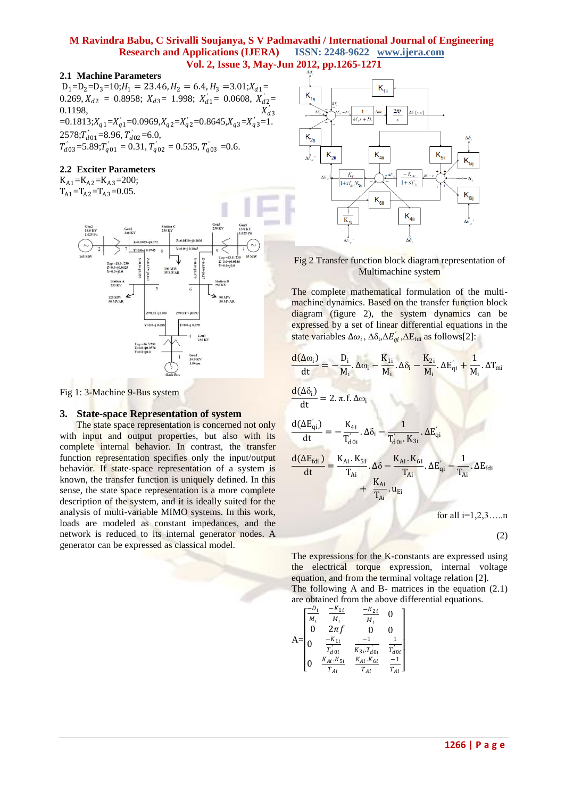#### **2.1 Machine Parameters**

 $D_1=D_2=D_3=10; H_1 = 23.46, H_2 = 6.4, H_3 = 3.01; X_{d1} =$ 0.269,  $X_{d2} = 0.8958$ ;  $X_{d3} = 1.998$ ;  $X'_{d1} = 0.0608$ ,  $X'_{d2} = 0.1198$ 0.1198,  $X'_{d3}$  $=0.1813; X_{q1} = X'_{q1} = 0.0969, X_{q2} = X'_{q2} = 0.8645, X_{q3} = X'_{q3} = 1.$  $2578;T'_{d01} = 8.96, T'_{d02} = 6.0,$  $T'_{d03} = 5.89; T'_{q01} = 0.31, T'_{q02} = 0.535, T'_{q03} = 0.6.$ 

# **2.2 Exciter Parameters**

 $K_{A1}$ = $K_{A2}$ = $K_{A3}$ =200;  $T_{A1} = T_{A2} = T_{A3} = 0.05$ .



Fig 1: 3-Machine 9-Bus system

#### **3. State-space Representation of system**

 The state space representation is concerned not only with input and output properties, but also with its complete internal behavior. In contrast, the transfer function representation specifies only the input/output behavior. If state-space representation of a system is known, the transfer function is uniquely defined. In this sense, the state space representation is a more complete description of the system, and it is ideally suited for the analysis of multi-variable MIMO systems. In this work, loads are modeled as constant impedances, and the network is reduced to its internal generator nodes. A generator can be expressed as classical model.



Fig 2 Transfer function block diagram representation of Multimachine system

The complete mathematical formulation of the multimachine dynamics. Based on the transfer function block diagram (figure 2), the system dynamics can be expressed by a set of linear differential equations in the state variables  $\Delta \omega_i$ ,  $\Delta \delta_i \Delta E'_{qi}$ ,  $\Delta E_{fdi}$  as follows[2]:

$$
\frac{d(\Delta \omega_{i})}{dt} = -\frac{D_{i}}{M_{i}} \cdot \Delta \omega_{i} - \frac{K_{1i}}{M_{i}} \cdot \Delta \delta_{i} - \frac{K_{2i}}{M_{i}} \cdot \Delta E'_{qi} + \frac{1}{M_{i}} \cdot \Delta T_{mi}
$$
\n
$$
\frac{d(\Delta \delta_{i})}{dt} = 2 \cdot \pi \cdot f \cdot \Delta \omega_{i}
$$
\n
$$
\frac{d(\Delta E'_{qi})}{dt} = -\frac{K_{4i}}{T'_{d0i}} \cdot \Delta \delta_{i} - \frac{1}{T'_{d0i} \cdot K_{3i}} \cdot \Delta E'_{qi}
$$
\n
$$
\frac{d(\Delta E_{fdi})}{dt} = \frac{K_{Ai} \cdot K_{5i}}{T_{Ai}} \cdot \Delta \delta - \frac{K_{Ai} \cdot K_{6i}}{T_{Ai}} \cdot \Delta E'_{qi} - \frac{1}{T_{Ai}} \cdot \Delta E_{fdi}
$$
\n
$$
+ \frac{K_{Ai}}{T_{Ai}} \cdot u_{Ei}
$$
\nfor all i=1,2,3,......  
\n(2)

The expressions for the K-constants are expressed using the electrical torque expression, internal voltage equation, and from the terminal voltage relation [2]. The following A and B- matrices in the equation (2.1) are obtained from the above differential equations.

$$
A = \begin{bmatrix} \frac{-D_i}{M_i} & \frac{-K_{1i}}{M_i} & \frac{-K_{2i}}{M_i} & 0\\ 0 & 2\pi f & 0 & 0\\ 0 & \frac{-K_{1i}}{T_{d0i}} & \frac{-1}{K_{3i}T_{d0i}} & \frac{1}{T_{d0i}}\\ 0 & \frac{K_{Ai}K_{5i}}{T_{Ai}} & \frac{K_{Ai}K_{6i}}{T_{Ai}} & \frac{-1}{T_{Ai}} \end{bmatrix}
$$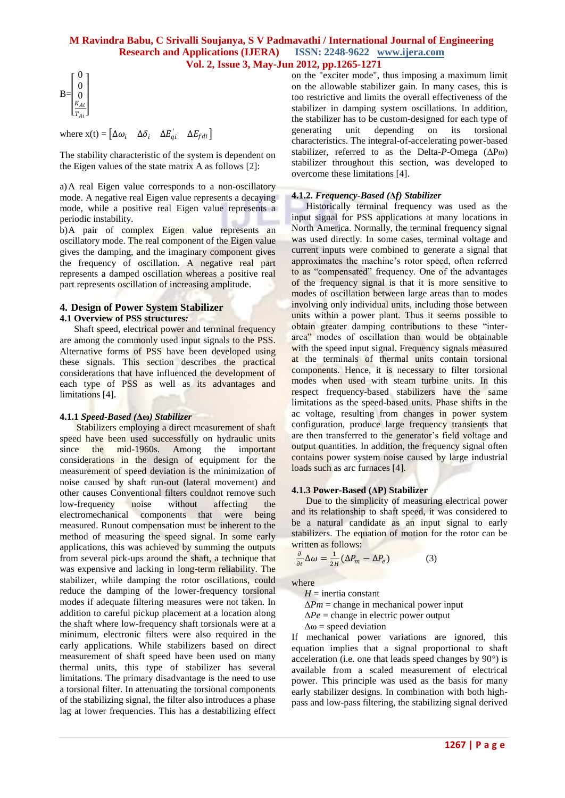$$
\mathbf{B} = \begin{bmatrix} 0 \\ 0 \\ 0 \\ \frac{K_{Ai}}{T_{Ai}} \end{bmatrix}
$$

where  $\mathbf{x}(t) = [\Delta \omega_i \quad \Delta \delta_i \quad \Delta E'_{qi} \quad \Delta E_{fdi}]$ 

The stability characteristic of the system is dependent on the Eigen values of the state matrix A as follows [2]:

a)A real Eigen value corresponds to a non-oscillatory mode. A negative real Eigen value represents a decaying mode, while a positive real Eigen value represents a periodic instability.

b)A pair of complex Eigen value represents an oscillatory mode. The real component of the Eigen value gives the damping, and the imaginary component gives the frequency of oscillation. A negative real part represents a damped oscillation whereas a positive real part represents oscillation of increasing amplitude.

# **4. Design of Power System Stabilizer**

# **4.1 Overview of PSS structures***:*

 Shaft speed, electrical power and terminal frequency are among the commonly used input signals to the PSS. Alternative forms of PSS have been developed using these signals. This section describes the practical considerations that have influenced the development of each type of PSS as well as its advantages and limitations [4].

# **4.1.1** *Speed-Based (***Δω***) Stabilizer*

 Stabilizers employing a direct measurement of shaft speed have been used successfully on hydraulic units since the mid-1960s. Among the important considerations in the design of equipment for the measurement of speed deviation is the minimization of noise caused by shaft run-out (lateral movement) and other causes Conventional filters couldnot remove such low-frequency noise without affecting the electromechanical components that were being measured. Runout compensation must be inherent to the method of measuring the speed signal. In some early applications, this was achieved by summing the outputs from several pick-ups around the shaft, a technique that was expensive and lacking in long-term reliability. The stabilizer, while damping the rotor oscillations, could reduce the damping of the lower-frequency torsional modes if adequate filtering measures were not taken. In addition to careful pickup placement at a location along the shaft where low-frequency shaft torsionals were at a minimum, electronic filters were also required in the early applications. While stabilizers based on direct measurement of shaft speed have been used on many thermal units, this type of stabilizer has several limitations. The primary disadvantage is the need to use a torsional filter. In attenuating the torsional components of the stabilizing signal, the filter also introduces a phase lag at lower frequencies. This has a destabilizing effect on the "exciter mode", thus imposing a maximum limit on the allowable stabilizer gain. In many cases, this is too restrictive and limits the overall effectiveness of the stabilizer in damping system oscillations. In addition, the stabilizer has to be custom-designed for each type of generating unit depending on its torsional characteristics. The integral-of-accelerating power-based stabilizer, referred to as the Delta-*P*-Omega (ΔPω) stabilizer throughout this section, was developed to overcome these limitations [4].

# **4.1.2***. Frequency-Based (***Δ***f) Stabilizer*

 Historically terminal frequency was used as the input signal for PSS applications at many locations in North America. Normally, the terminal frequency signal was used directly. In some cases, terminal voltage and current inputs were combined to generate a signal that approximates the machine"s rotor speed, often referred to as "compensated" frequency. One of the advantages of the frequency signal is that it is more sensitive to modes of oscillation between large areas than to modes involving only individual units, including those between units within a power plant. Thus it seems possible to obtain greater damping contributions to these "interarea" modes of oscillation than would be obtainable with the speed input signal. Frequency signals measured at the terminals of thermal units contain torsional components. Hence, it is necessary to filter torsional modes when used with steam turbine units. In this respect frequency-based stabilizers have the same limitations as the speed-based units. Phase shifts in the ac voltage, resulting from changes in power system configuration, produce large frequency transients that are then transferred to the generator"s field voltage and output quantities. In addition, the frequency signal often contains power system noise caused by large industrial loads such as arc furnaces [4].

# **4.1.3 Power-Based (ΔP) Stabilizer**

 Due to the simplicity of measuring electrical power and its relationship to shaft speed, it was considered to be a natural candidate as an input signal to early stabilizers. The equation of motion for the rotor can be written as follows:

$$
\frac{\partial}{\partial t} \Delta \omega = \frac{1}{2H} (\Delta P_m - \Delta P_e)
$$
 (3)

where

 $H =$  inertia constant

 $\Delta Pm$  = change in mechanical power input

 $\Delta Pe$  = change in electric power output

 $\Delta \omega$  = speed deviation

If mechanical power variations are ignored, this equation implies that a signal proportional to shaft acceleration (i.e. one that leads speed changes by 90°) is available from a scaled measurement of electrical power. This principle was used as the basis for many early stabilizer designs. In combination with both highpass and low-pass filtering, the stabilizing signal derived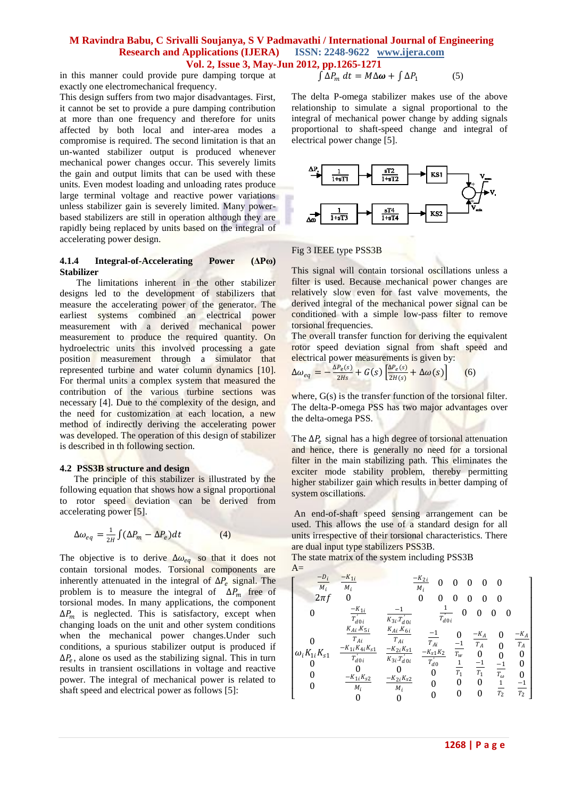in this manner could provide pure damping torque at exactly one electromechanical frequency.

This design suffers from two major disadvantages. First, it cannot be set to provide a pure damping contribution at more than one frequency and therefore for units affected by both local and inter-area modes a compromise is required. The second limitation is that an un-wanted stabilizer output is produced whenever mechanical power changes occur. This severely limits the gain and output limits that can be used with these units. Even modest loading and unloading rates produce large terminal voltage and reactive power variations unless stabilizer gain is severely limited. Many powerbased stabilizers are still in operation although they are rapidly being replaced by units based on the integral of accelerating power design.

#### **4.1.4 Integral-of-Accelerating Power (ΔPω) Stabilizer**

 The limitations inherent in the other stabilizer designs led to the development of stabilizers that measure the accelerating power of the generator. The earliest systems combined an electrical power measurement with a derived mechanical power measurement to produce the required quantity. On hydroelectric units this involved processing a gate position measurement through a simulator that represented turbine and water column dynamics [10]. For thermal units a complex system that measured the contribution of the various turbine sections was necessary [4]. Due to the complexity of the design, and the need for customization at each location, a new method of indirectly deriving the accelerating power was developed. The operation of this design of stabilizer is described in th following section.

#### **4.2 PSS3B structure and design**

 The principle of this stabilizer is illustrated by the following equation that shows how a signal proportional to rotor speed deviation can be derived from accelerating power [5].

$$
\Delta \omega_{eq} = \frac{1}{2H} \int (\Delta P_m - \Delta P_e) dt \tag{4}
$$

The objective is to derive  $\Delta \omega_{eq}$  so that it does not contain torsional modes. Torsional components are inherently attenuated in the integral of  $\Delta P_e$  signal. The problem is to measure the integral of  $\Delta P_m$  free of torsional modes. In many applications, the component  $\Delta P_m$  is neglected. This is satisfactory, except when changing loads on the unit and other system conditions when the mechanical power changes.Under such conditions, a spurious stabilizer output is produced if  $\Delta P_e$ , alone os used as the stabilizing signal. This in turn results in transient oscillations in voltage and reactive power. The integral of mechanical power is related to shaft speed and electrical power as follows [5]:

$$
\int \Delta P_m \, dt = M \Delta \omega + \int \Delta P_1 \tag{5}
$$

The delta P-omega stabilizer makes use of the above relationship to simulate a signal proportional to the integral of mechanical power change by adding signals proportional to shaft-speed change and integral of electrical power change [5].



#### Fig 3 IEEE type PSS3B

This signal will contain torsional oscillations unless a filter is used. Because mechanical power changes are relatively slow even for fast valve movements, the derived integral of the mechanical power signal can be conditioned with a simple low-pass filter to remove torsional frequencies.

The overall transfer function for deriving the equivalent rotor speed deviation signal from shaft speed and electrical power measurements is given by:

$$
\Delta \omega_{eq} = -\frac{\Delta P_e(s)}{2Hs} + G(s) \left[ \frac{\Delta P_e(s)}{2H(s)} + \Delta \omega(s) \right]
$$
 (6)

where,  $G(s)$  is the transfer function of the torsional filter. The delta-P-omega PSS has two major advantages over the delta-omega PSS.

The  $\Delta P_e$  signal has a high degree of torsional attenuation and hence, there is generally no need for a torsional filter in the main stabilizing path. This eliminates the exciter mode stability problem, thereby permitting higher stabilizer gain which results in better damping of system oscillations.

An end-of-shaft speed sensing arrangement can be used. This allows the use of a standard design for all units irrespective of their torsional characteristics. There are dual input type stabilizers PSS3B.

The state matrix of the system including PSS3B  $\Delta$ -

$$
\begin{bmatrix}\n\frac{-D_i}{M_i} & \frac{-K_{1i}}{M_i} & \frac{-K_{2i}}{M_i} & 0 & 0 & 0 & 0 & 0 \\
2\pi f & 0 & 0 & 0 & 0 & 0 & 0 & 0 \\
0 & \frac{-K_{1i}}{T_{d0i}} & \frac{-1}{K_{3i}T_{d0i}} & \frac{1}{T_{d0i}} & 0 & 0 & 0 & 0 \\
\frac{K_{Ai}K_{5i}}{T_{Ai}} & \frac{K_{Ai}K_{6i}}{T_{Ai}} & \frac{-1}{T_{Ai}} & 0 & \frac{-K_A}{T_A} & 0 & \frac{-K_A}{T_A} \\
0 & \frac{-K_{1i}K_{4i}K_{51}}{T_{d0i}} & \frac{-K_{2i}K_{51}}{K_{3i}T_{d0i}} & \frac{-K_{3i}K_2}{T_{d0}} & \frac{-K_A}{T_A} & 0 & 0 & 0 \\
0 & 0 & 0 & 0 & \frac{1}{T_1} & \frac{-1}{T_1} & \frac{-1}{T_0} & 0 \\
0 & \frac{-K_{1i}K_{52}}{M_i} & \frac{-K_{2i}K_{52}}{M_i} & 0 & 0 & 0 & \frac{1}{T_2} & \frac{-1}{T_2} \\
0 & 0 & 0 & 0 & 0 & 0 & \frac{1}{T_2} & \frac{-1}{T_2}\n\end{bmatrix}
$$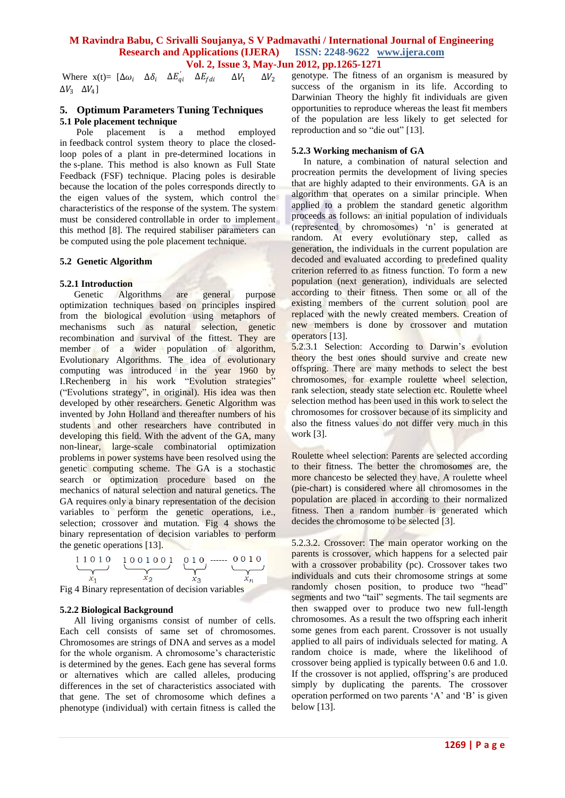Where  $x(t) = [\Delta \omega_i \quad \Delta \delta_i \quad \Delta E'_{qi} \quad \Delta E_{fdi}]$  $\Delta V_1$  $\Delta V_2$  $\Delta V_3$   $\Delta V_4$ ]

#### **5. Optimum Parameters Tuning Techniques 5.1 Pole placement technique**

 Pole placement is a method employed in feedback control system theory to place the closedloop poles of a plant in pre-determined locations in the s-plane. This method is also known as Full State Feedback (FSF) technique. Placing poles is desirable because the location of the poles corresponds directly to the eigen values of the system, which control the characteristics of the response of the system. The system must be considered controllable in order to implement this method [8]. The required stabiliser parameters can be computed using the pole placement technique.

#### **5.2 Genetic Algorithm**

#### **5.2.1 Introduction**

 Genetic Algorithms are general purpose optimization techniques based on principles inspired from the biological evolution using metaphors of mechanisms such as natural selection, genetic recombination and survival of the fittest. They are member of a wider population of algorithm, Evolutionary Algorithms. The idea of evolutionary computing was introduced in the year 1960 by I.Rechenberg in his work "Evolution strategies" ("Evolutions strategy", in original). His idea was then developed by other researchers. Genetic Algorithm was invented by John Holland and thereafter numbers of his students and other researchers have contributed in developing this field. With the advent of the GA, many non-linear, large-scale combinatorial optimization problems in power systems have been resolved using the genetic computing scheme. The GA is a stochastic search or optimization procedure based on the mechanics of natural selection and natural genetics. The GA requires only a binary representation of the decision variables to perform the genetic operations, i.e., selection; crossover and mutation. Fig 4 shows the binary representation of decision variables to perform the genetic operations [13].

$$
\underbrace{1\ 1\ 0\ 1\ 0}_{x_1} \quad \underbrace{1\ 0\ 0\ 1\ 0\ 0\ 1}_{x_2} \quad \underbrace{0\ 1\ 0}_{x_3} \quad \underbrace{\ldots \quad 0\ 0\ 1\ 0}_{x_n}
$$

Fig 4 Binary representation of decision variables

#### **5.2.2 Biological Background**

 All living organisms consist of number of cells. Each cell consists of same set of chromosomes. Chromosomes are strings of DNA and serves as a model for the whole organism. A chromosome's characteristic is determined by the genes. Each gene has several forms or alternatives which are called alleles, producing differences in the set of characteristics associated with that gene. The set of chromosome which defines a phenotype (individual) with certain fitness is called the

genotype. The fitness of an organism is measured by success of the organism in its life. According to Darwinian Theory the highly fit individuals are given opportunities to reproduce whereas the least fit members of the population are less likely to get selected for reproduction and so "die out" [13].

#### **5.2.3 Working mechanism of GA**

 In nature, a combination of natural selection and procreation permits the development of living species that are highly adapted to their environments. GA is an algorithm that operates on a similar principle. When applied to a problem the standard genetic algorithm proceeds as follows: an initial population of individuals (represented by chromosomes) "n" is generated at random. At every evolutionary step, called as generation, the individuals in the current population are decoded and evaluated according to predefined quality criterion referred to as fitness function. To form a new population (next generation), individuals are selected according to their fitness. Then some or all of the existing members of the current solution pool are replaced with the newly created members. Creation of new members is done by crossover and mutation operators [13].

5.2.3.1 Selection: According to Darwin's evolution theory the best ones should survive and create new offspring. There are many methods to select the best chromosomes, for example roulette wheel selection, rank selection, steady state selection etc. Roulette wheel selection method has been used in this work to select the chromosomes for crossover because of its simplicity and also the fitness values do not differ very much in this work [3].

Roulette wheel selection: Parents are selected according to their fitness. The better the chromosomes are, the more chancesto be selected they have. A roulette wheel (pie-chart) is considered where all chromosomes in the population are placed in according to their normalized fitness. Then a random number is generated which decides the chromosome to be selected [3].

5.2.3.2. Crossover: The main operator working on the parents is crossover, which happens for a selected pair with a crossover probability (pc). Crossover takes two individuals and cuts their chromosome strings at some randomly chosen position, to produce two "head" segments and two "tail" segments. The tail segments are then swapped over to produce two new full-length chromosomes. As a result the two offspring each inherit some genes from each parent. Crossover is not usually applied to all pairs of individuals selected for mating. A random choice is made, where the likelihood of crossover being applied is typically between 0.6 and 1.0. If the crossover is not applied, offspring's are produced simply by duplicating the parents. The crossover operation performed on two parents "A" and "B" is given below [13].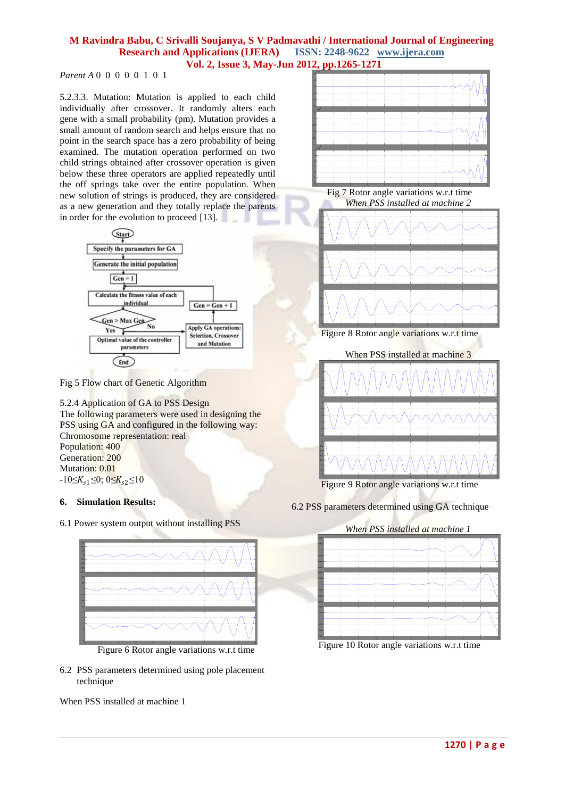# *Parent A* 0 0 0 0 0 1 0 1

5.2.3.3. Mutation: Mutation is applied to each child individually after crossover. It randomly alters each gene with a small probability (pm). Mutation provides a small amount of random search and helps ensure that no point in the search space has a zero probability of being examined. The mutation operation performed on two child strings obtained after crossover operation is given below these three operators are applied repeatedly until the off springs take over the entire population. When new solution of strings is produced, they are considered as a new generation and they totally replace the parents in order for the evolution to proceed [13].



Fig 5 Flow chart of Genetic Algorithm

5.2.4 Application of GA to PSS Design The following parameters were used in designing the PSS using GA and configured in the following way: Chromosome representation: real Population: 400 Generation: 200 Mutation: 0.01  $-10\leq K_{s1}\leq 0$ ;  $0\leq K_{s2}\leq 10$ 

# **6. Simulation Results:**

6.1 Power system output without installing PSS



Figure 6 Rotor angle variations w.r.t time

6.2 PSS parameters determined using pole placement technique

When PSS installed at machine 1











Figure 9 Rotor angle variations w.r.t time

6.2 PSS parameters determined using GA technique

# *When PSS installed at machine 1*



Figure 10 Rotor angle variations w.r.t time